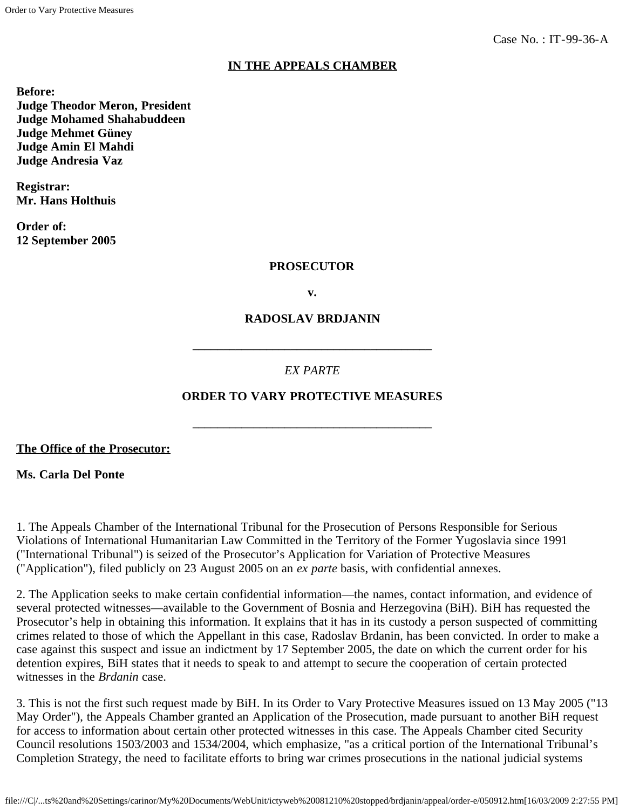# **IN THE APPEALS CHAMBER**

**Before: Judge Theodor Meron, President Judge Mohamed Shahabuddeen Judge Mehmet Güney Judge Amin El Mahdi Judge Andresia Vaz**

**Registrar: Mr. Hans Holthuis**

**Order of: 12 September 2005**

#### **PROSECUTOR**

**v.**

#### **RADOSLAV BRDJANIN**

# *EX PARTE*

**\_\_\_\_\_\_\_\_\_\_\_\_\_\_\_\_\_\_\_\_\_\_\_\_\_\_\_\_\_\_\_\_\_\_\_\_\_\_\_**

# **ORDER TO VARY PROTECTIVE MEASURES**

**\_\_\_\_\_\_\_\_\_\_\_\_\_\_\_\_\_\_\_\_\_\_\_\_\_\_\_\_\_\_\_\_\_\_\_\_\_\_\_**

**The Office of the Prosecutor:**

**Ms. Carla Del Ponte**

1. The Appeals Chamber of the International Tribunal for the Prosecution of Persons Responsible for Serious Violations of International Humanitarian Law Committed in the Territory of the Former Yugoslavia since 1991 ("International Tribunal") is seized of the Prosecutor's Application for Variation of Protective Measures ("Application"), filed publicly on 23 August 2005 on an *ex parte* basis, with confidential annexes.

2. The Application seeks to make certain confidential information—the names, contact information, and evidence of several protected witnesses—available to the Government of Bosnia and Herzegovina (BiH). BiH has requested the Prosecutor's help in obtaining this information. It explains that it has in its custody a person suspected of committing crimes related to those of which the Appellant in this case, Radoslav Brdanin, has been convicted. In order to make a case against this suspect and issue an indictment by 17 September 2005, the date on which the current order for his detention expires, BiH states that it needs to speak to and attempt to secure the cooperation of certain protected witnesses in the *Brdanin* case.

3. This is not the first such request made by BiH. In its Order to Vary Protective Measures issued on 13 May 2005 ("13 May Order"), the Appeals Chamber granted an Application of the Prosecution, made pursuant to another BiH request for access to information about certain other protected witnesses in this case. The Appeals Chamber cited Security Council resolutions 1503/2003 and 1534/2004, which emphasize, "as a critical portion of the International Tribunal's Completion Strategy, the need to facilitate efforts to bring war crimes prosecutions in the national judicial systems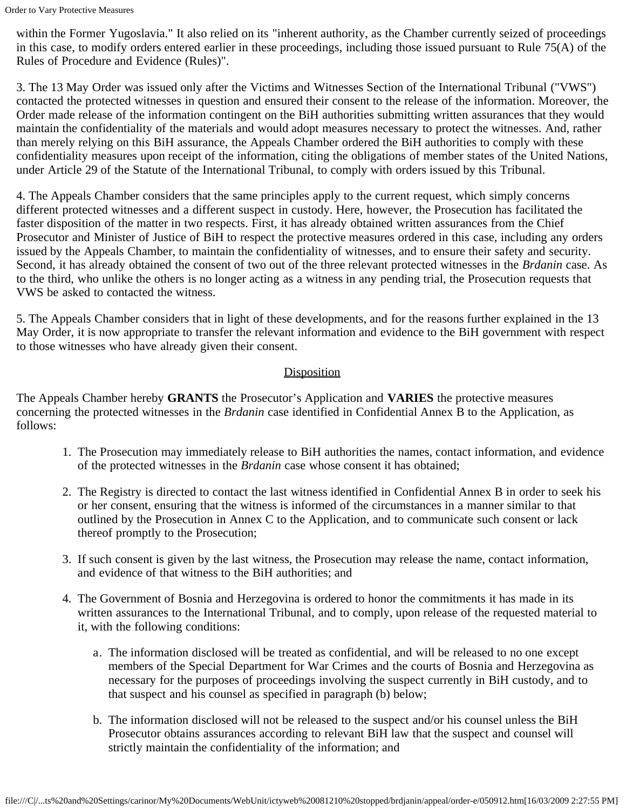within the Former Yugoslavia." It also relied on its "inherent authority, as the Chamber currently seized of proceedings in this case, to modify orders entered earlier in these proceedings, including those issued pursuant to Rule 75(A) of the Rules of Procedure and Evidence (Rules)".

3. The 13 May Order was issued only after the Victims and Witnesses Section of the International Tribunal ("VWS") contacted the protected witnesses in question and ensured their consent to the release of the information. Moreover, the Order made release of the information contingent on the BiH authorities submitting written assurances that they would maintain the confidentiality of the materials and would adopt measures necessary to protect the witnesses. And, rather than merely relying on this BiH assurance, the Appeals Chamber ordered the BiH authorities to comply with these confidentiality measures upon receipt of the information, citing the obligations of member states of the United Nations, under Article 29 of the Statute of the International Tribunal, to comply with orders issued by this Tribunal.

4. The Appeals Chamber considers that the same principles apply to the current request, which simply concerns different protected witnesses and a different suspect in custody. Here, however, the Prosecution has facilitated the faster disposition of the matter in two respects. First, it has already obtained written assurances from the Chief Prosecutor and Minister of Justice of BiH to respect the protective measures ordered in this case, including any orders issued by the Appeals Chamber, to maintain the confidentiality of witnesses, and to ensure their safety and security. Second, it has already obtained the consent of two out of the three relevant protected witnesses in the *Brdanin* case. As to the third, who unlike the others is no longer acting as a witness in any pending trial, the Prosecution requests that VWS be asked to contacted the witness.

5. The Appeals Chamber considers that in light of these developments, and for the reasons further explained in the 13 May Order, it is now appropriate to transfer the relevant information and evidence to the BiH government with respect to those witnesses who have already given their consent.

#### **Disposition**

The Appeals Chamber hereby **GRANTS** the Prosecutor's Application and **VARIES** the protective measures concerning the protected witnesses in the *Brdanin* case identified in Confidential Annex B to the Application, as follows:

- 1. The Prosecution may immediately release to BiH authorities the names, contact information, and evidence of the protected witnesses in the *Brdanin* case whose consent it has obtained;
- 2. The Registry is directed to contact the last witness identified in Confidential Annex B in order to seek his or her consent, ensuring that the witness is informed of the circumstances in a manner similar to that outlined by the Prosecution in Annex C to the Application, and to communicate such consent or lack thereof promptly to the Prosecution;
- 3. If such consent is given by the last witness, the Prosecution may release the name, contact information, and evidence of that witness to the BiH authorities; and
- 4. The Government of Bosnia and Herzegovina is ordered to honor the commitments it has made in its written assurances to the International Tribunal, and to comply, upon release of the requested material to it, with the following conditions:
	- a. The information disclosed will be treated as confidential, and will be released to no one except members of the Special Department for War Crimes and the courts of Bosnia and Herzegovina as necessary for the purposes of proceedings involving the suspect currently in BiH custody, and to that suspect and his counsel as specified in paragraph (b) below;
	- b. The information disclosed will not be released to the suspect and/or his counsel unless the BiH Prosecutor obtains assurances according to relevant BiH law that the suspect and counsel will strictly maintain the confidentiality of the information; and